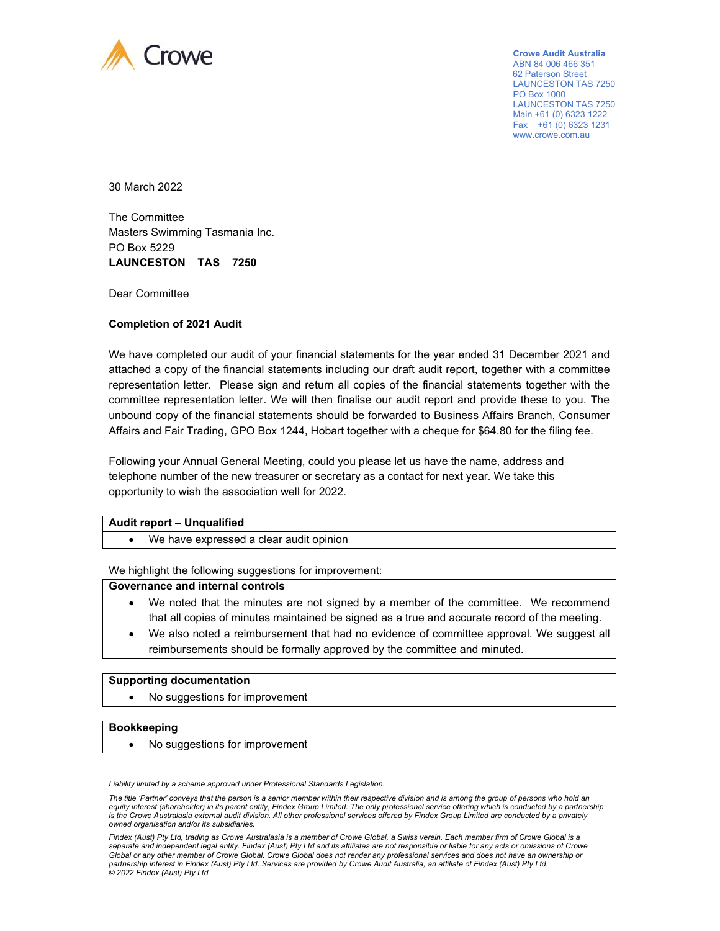

**Crowe Audit Australia**  ABN 84 006 466 351 62 Paterson Street LAUNCESTON TAS 7250 PO Box 1000 LAUNCESTON TAS 7250 Main +61 (0) 6323 1222 Fax  $+61(0)$  6323 1231 www.crowe.com.au

30 March 2022

The Committee Masters Swimming Tasmania Inc. PO Box 5229 **LAUNCESTON TAS 7250** 

Dear Committee

# **Completion of 2021 Audit**

We have completed our audit of your financial statements for the year ended 31 December 2021 and attached a copy of the financial statements including our draft audit report, together with a committee representation letter. Please sign and return all copies of the financial statements together with the committee representation letter. We will then finalise our audit report and provide these to you. The unbound copy of the financial statements should be forwarded to Business Affairs Branch, Consumer Affairs and Fair Trading, GPO Box 1244, Hobart together with a cheque for \$64.80 for the filing fee.

Following your Annual General Meeting, could you please let us have the name, address and telephone number of the new treasurer or secretary as a contact for next year. We take this opportunity to wish the association well for 2022.

## **Audit report – Unqualified**

• We have expressed a clear audit opinion

We highlight the following suggestions for improvement:

#### **Governance and internal controls**

- We noted that the minutes are not signed by a member of the committee. We recommend that all copies of minutes maintained be signed as a true and accurate record of the meeting.
- We also noted a reimbursement that had no evidence of committee approval. We suggest all reimbursements should be formally approved by the committee and minuted.

### **Supporting documentation**

• No suggestions for improvement

### **Bookkeeping**

No suggestions for improvement

*Liability limited by a scheme approved under Professional Standards Legislation.* 

*The title 'Partner' conveys that the person is a senior member within their respective division and is among the group of persons who hold an*  equity interest (shareholder) in its parent entity, Findex Group Limited. The only professional service offering which is conducted by a partnership *is the Crowe Australasia external audit division. All other professional services offered by Findex Group Limited are conducted by a privately owned organisation and/or its subsidiaries.* 

*Findex (Aust) Pty Ltd, trading as Crowe Australasia is a member of Crowe Global, a Swiss verein. Each member firm of Crowe Global is a separate and independent legal entity. Findex (Aust) Pty Ltd and its affiliates are not responsible or liable for any acts or omissions of Crowe Global or any other member of Crowe Global. Crowe Global does not render any professional services and does not have an ownership or partnership interest in Findex (Aust) Pty Ltd. Services are provided by Crowe Audit Australia, an affiliate of Findex (Aust) Pty Ltd. © 2022 Findex (Aust) Pty Ltd*